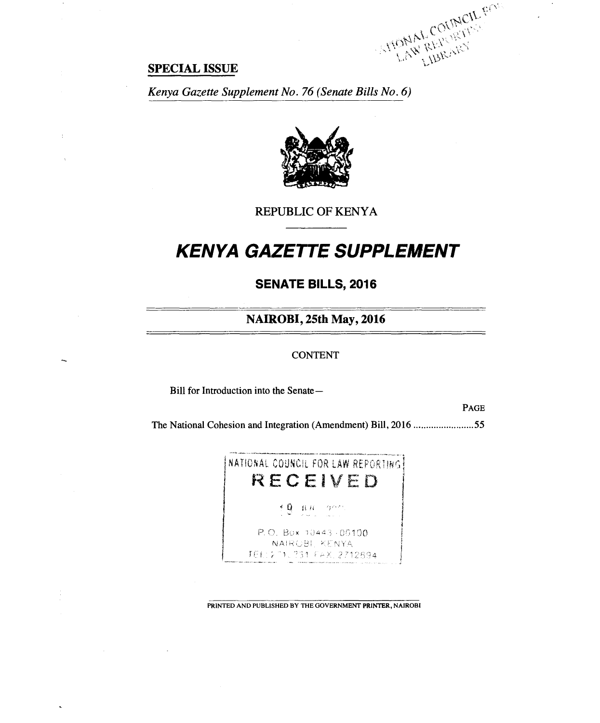$\mathbb{C}^{C_{\mathcal{V}}}$ • .2'`' (

## **SPECIAL ISSUE**

 $\cdot$  :

*Kenya Gazette Supplement No. 76 (Senate Bills No. 6)* 



REPUBLIC OF KENYA

# *KENYA GAZETTE SUPPLEMENT*

**SENATE BILLS, 2016** 

**NAIROBI, 25th May, 2016** 

CONTENT

Bill for Introduction into the Senate—

PAGE

The National Cohesion and Integration (Amendment) Bill, 2016 .........................55



PRINTED AND PUBLISHED BY THE GOVERNMENT PRINTER, NAIROBI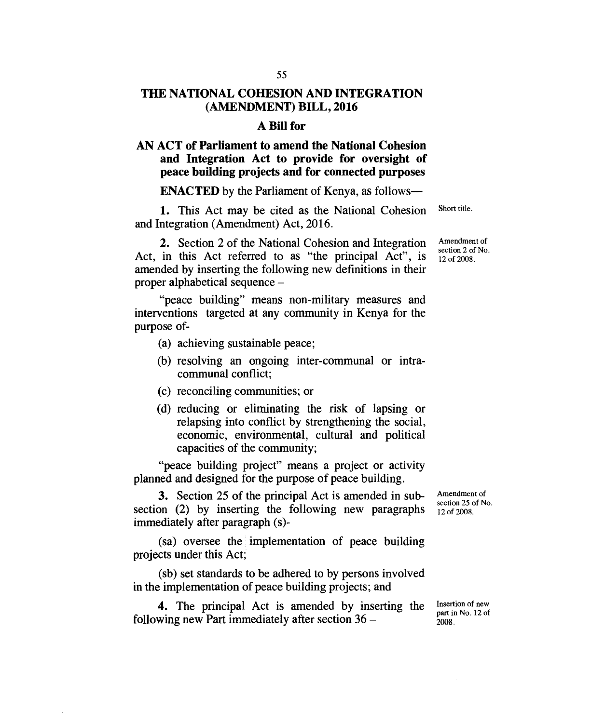## **THE NATIONAL COHESION AND INTEGRATION (AMENDMENT) BILL, 2016**

#### **A Bill for**

## **AN ACT of Parliament to amend the National Cohesion and Integration Act to provide for oversight of peace building projects and for connected purposes**

#### **ENACTED** by the Parliament of Kenya, as follows-

1. This Act may be cited as the National Cohesion and Integration (Amendment) Act, 2016.

**2.** Section 2 of the National Cohesion and Integration Act, in this Act referred to as "the principal Act", is amended by inserting the following new definitions in their proper alphabetical sequence –

"peace building" means non-military measures and interventions targeted at any community in Kenya for the purpose of-

- (a) achieving sustainable peace;
- (b) resolving an ongoing inter-communal or intracommunal conflict;
- (c) reconciling communities; or
- (d) reducing or eliminating the risk of lapsing or relapsing into conflict by strengthening the social, economic, environmental, cultural and political capacities of the community;

"peace building project" means a project or activity planned and designed for the purpose of peace building.

**3.** Section 25 of the principal Act is amended in subsection (2) by inserting the following new paragraphs immediately after paragraph (s)-

(sa) oversee the implementation of peace building projects under this Act;

(sb) set standards to be adhered to by persons involved in the implementation of peace building projects; and

**4.** The principal Act is amended by inserting the following new Part immediately after section 36 –

Amendment of section 25 of No. 12 of 2008.

Insertion of new part in No. 12 of

2008.

Short title.

Amendment of section 2 of No. 12 of 2008.

55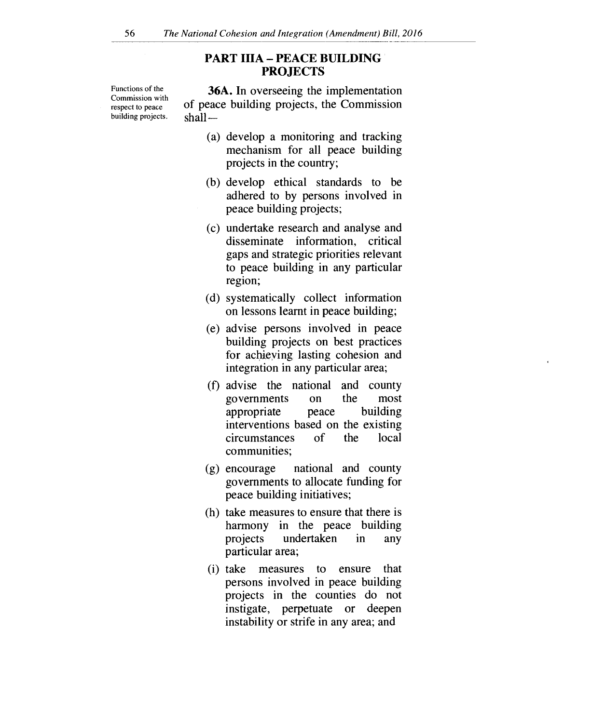## **PART IIIA — PEACE BUILDING PROJECTS**

Functions of the Commission with respect to peace building projects. shall —

**36A.** In overseeing the implementation of peace building projects, the Commission

- (a) develop a monitoring and tracking mechanism for all peace building projects in the country;
- (b) develop ethical standards to be adhered to by persons involved in peace building projects;
- (c) undertake research and analyse and disseminate information, critical gaps and strategic priorities relevant to peace building in any particular region;
- (d) systematically collect information on lessons learnt in peace building;
- (e) advise persons involved in peace building projects on best practices for achieving lasting cohesion and integration in any particular area;
- (f) advise the national and county governments on the most appropriate peace building interventions based on the existing circumstances of the local communities;
- (g) encourage national and county governments to allocate funding for peace building initiatives;
- (h) take measures to ensure that there is harmony in the peace building projects undertaken in any particular area;
- (i) take measures to ensure that persons involved in peace building projects in the counties do not instigate, perpetuate or deepen instability or strife in any area; and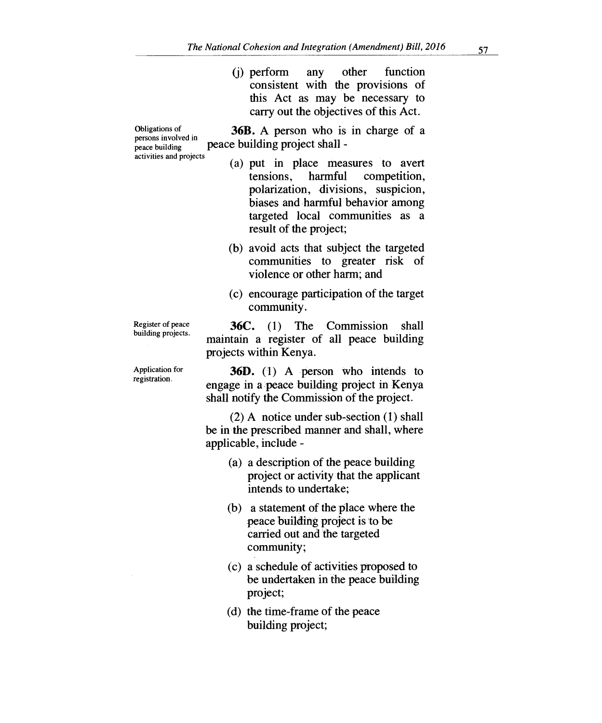(j) perform any other function consistent with the provisions of this Act as may be necessary to carry out the objectives of this Act.

Obligations of **36B.** A person who is in charge of a persons involved in peace building project shall -

- (a) put in place measures to avert tensions, harmful competition, polarization, divisions, suspicion, biases and harmful behavior among targeted local communities as a result of the project;
- (b) avoid acts that subject the targeted communities to greater risk of violence or other harm; and
- (c) encourage participation of the target community.

**36C. (1)** The Commission shall maintain a register of all peace building projects within'Kenya.

36D. (1) A person who intends to engage in a peace building project in Kenya shall notify the Commission of the project.

(2) A notice under sub-section (1) shall be in the prescribed manner and shall, where applicable, include -

- (a) a description of the peace building project or activity that the applicant intends to undertake;
- (b) a statement of the place where the peace building project is to be carried out and the targeted community;
- (c) a schedule of activities proposed to be undertaken in the peace building project;
- (d) the time-frame of the peace building project;

Register of peace building projects.

persons involved in

activities and projects

Application for registration.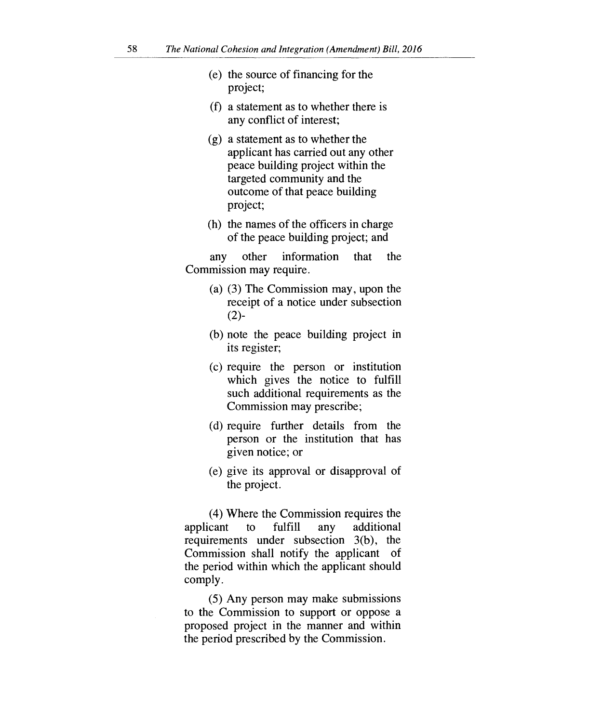- (e) the source of financing for the project;
- (f) a statement as to whether there is any conflict of interest;
- (g) a statement as to whether the applicant has carried out any other peace building project within the targeted community and the outcome of that peace building project;
- (h) the names of the officers in charge of the peace building project; and

any other information that the Commission may require.

- (a) (3) The Commission may, upon the receipt of a notice under subsection  $(2)$ -
- (b) note the peace building project in its register;
- (c) require the person or institution which gives the notice to fulfill such additional requirements as the Commission may prescribe;
- (d) require further details from the person or the institution that has given notice; or
- (e) give its approval or disapproval of the project.

(4) Where the Commission requires the applicant to fulfill any additional requirements under subsection 3(b), the Commission shall notify the applicant of the period within which the applicant should comply.

(5) Any person may make submissions to the Commission to support or oppose a proposed project in the manner and within the period prescribed by the Commission.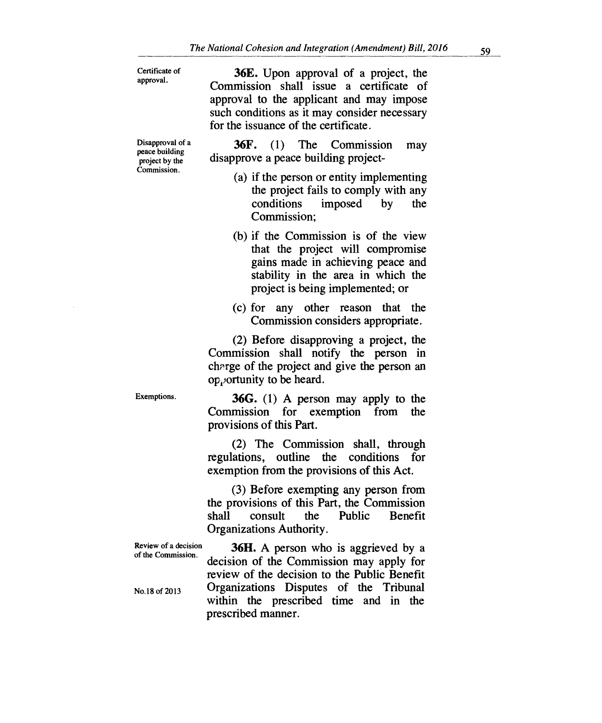| Certificate of |
|----------------|
| approval.      |

**36E.** Upon approval of a project, the Commission shall issue a certificate of approval to the applicant and may impose such conditions as it may consider necessary for the issuance of the certificate.

Disapproval of a peace building project by the Commission.

**36F.** (1) The Commission may disapprove a peace building project-

- (a) if the person or entity implementing the project fails to comply with any conditions imposed by the Commission;
- (b) if the Commission is of the view that the project will compromise gains made in achieving peace and stability in the area in which the project is being implemented; or
- (c) for any other reason that the Commission considers appropriate.

(2) Before disapproving a project, the Commission shall notify the person in chrrge of the project and give the person an  $op<sub>i</sub>$  ortunity to be heard.

Exemptions.

**36G.** (1) A person may apply to the Commission for exemption from the provisions of this Part.

(2) The Commission shall, through regulations, outline the conditions for exemption from the provisions of this Act.

(3) Before exempting any person from the provisions of this Part, the Commission shall consult the Public Benefit Organizations Authority.

Review of a decision of the Commission. No.18 of 2013 **36H.** A person who is aggrieved by a decision of the Commission may apply for review of the decision to the Public Benefit Organizations Disputes of the Tribunal within the prescribed time and in the prescribed manner.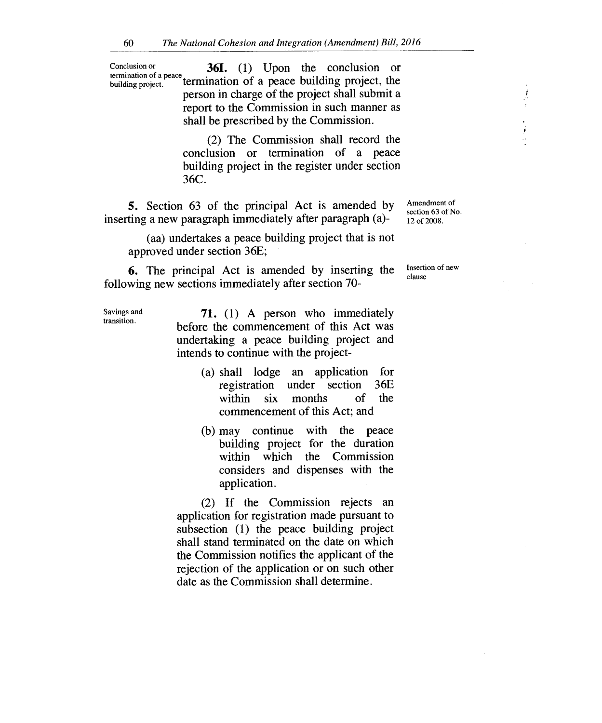Conclusion or **361.** (1) Upon the conclusion or termination of a peace termination of a peace building project, the person in charge of the project shall submit a report to the Commission in such manner as shall be prescribed by the Commission.

> (2) The Commission shall record the conclusion or termination of a peace building project in the register under section 36C.

5. Section 63 of the principal Act is amended by inserting a new paragraph immediately after paragraph (a)-

Amendment of section 63 of No. 12 of 2008.

 $\frac{\delta}{\epsilon}$ 

(aa) undertakes a peace building project that is not approved under section 36E;

6. The principal Act is amended by inserting the following new sections immediately after section 70-

Savings and transition.

**71.** (1) A person who immediately before the commencement of this Act was undertaking a peace building project and intends to continue with the project-

- (a) shall lodge an application for registration under section 36E within six months of the commencement of this Act; and
- (b) may continue with the peace building project for the duration within which the Commission considers and dispenses with the application.

(2) If the Commission rejects an application for registration made pursuant to subsection (1) the peace building project shall stand terminated on the date on which the Commission notifies the applicant of the rejection of the application or on such other date as the Commission shall determine.

Insertion of new clause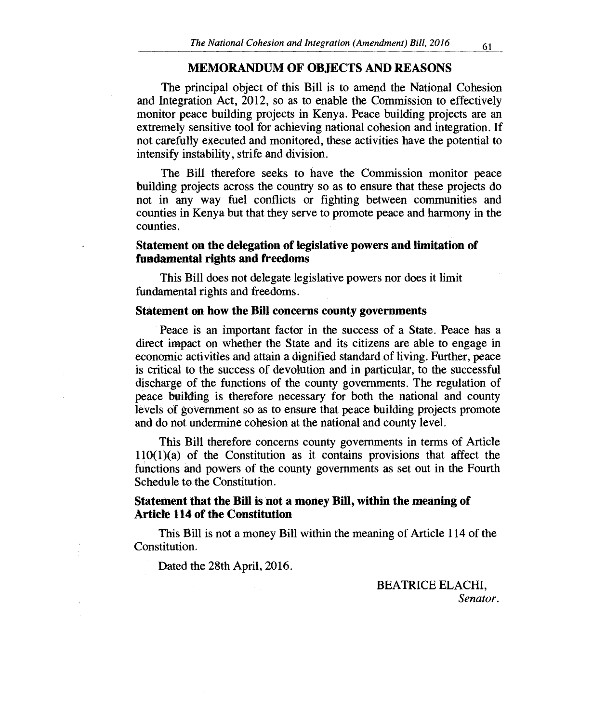## **MEMORANDUM OF OBJECTS AND REASONS**

The principal object of this Bill is to amend the National Cohesion and Integration Act, 2012, so as to enable the Commission to effectively monitor peace building projects in Kenya. Peace building projects are an extremely sensitive tool for achieving national cohesion and integration. If not carefully executed and monitored, these activities have the potential to intensify instability, strife and division.

The Bill therefore seeks to have the Commission monitor peace building projects across the country so as to ensure that these projects do not in any way fuel conflicts or fighting between communities and counties in Kenya but that they serve to promote peace and harmony in the counties.

## **Statement on the delegation of legislative powers and limitation of fundamental rights and freedoms**

This Bill does not delegate legislative powers nor does it limit fundamental rights and freedoms.

#### **Statement on how the Bill concerns county governments**

Peace is an important factor in the success of a State. Peace has a direct impact on whether the State and its citizens are able to engage in economic activities and attain a dignified standard of living. Further, peace is critical to the success of devolution and in particular, to the successful discharge of the functions of the county governments. The regulation of peace building is therefore necessary for both the national and county levels of government so as to ensure that peace building projects promote and do not undermine cohesion at the national and county level.

This Bill therefore concerns county governments in terms of Article  $110(1)(a)$  of the Constitution as it contains provisions that affect the functions and powers of the county governments as set out in the Fourth Schedule to the Constitution.

## **Statement that the Bill is not a money Bill, within the meaning of Article 114 of the Constitution**

This Bill is not a money Bill within the meaning of Article 114 of the Constitution.

Dated the 28th April, 2016.

BEATRICE ELACHI, *Senator.*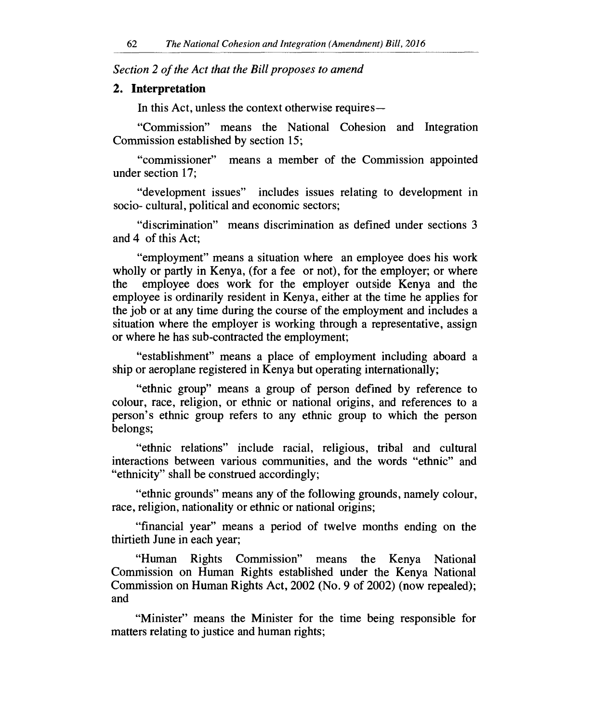*Section 2 of the Act that the Bill proposes to amend* 

#### **2. Interpretation**

In this Act, unless the context otherwise requires —

"Commission" means the National Cohesion and Integration Commission established by section 15;

"commissioner" means a member of the Commission appointed under section 17;

"development issues" includes issues relating to development in socio- cultural, political and economic sectors;

"discrimination" means discrimination as defined under sections 3 and 4 of this Act;

"employment" means a situation where an employee does his work wholly or partly in Kenya, (for a fee or not), for the employer; or where the employee does work for the employer outside Kenya and the employee is ordinarily resident in Kenya, either at the time he applies for the job or at any time during the course of the employment and includes a situation where the employer is working through a representative, assign or where he has sub-contracted the employment;

"establishment" means a place of employment including aboard a ship or aeroplane registered in Kenya but operating internationally;

"ethnic group" means a group of person defined by reference to colour, race, religion, or ethnic or national origins, and references to a person's ethnic group refers to any ethnic group to which the person belongs;

"ethnic relations" include racial, religious, tribal and cultural interactions between various communities, and the words "ethnic" and "ethnicity" shall be construed accordingly;

"ethnic grounds" means any of the following grounds, namely colour, race, religion, nationality or ethnic or national origins;

"financial year" means a period of twelve months ending on the thirtieth June in each year;

"Human Rights Commission" means the Kenya National Commission on Human Rights established under the Kenya National Commission on Human Rights Act, 2002 (No. 9 of 2002) (now repealed); and

"Minister" means the Minister for the time being responsible for matters relating to justice and human rights;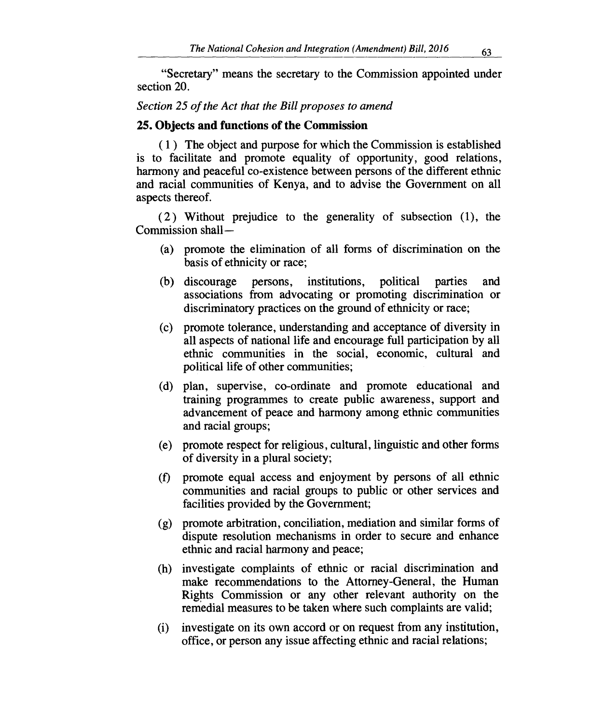"Secretary" means the secretary to the Commission appointed under section 20.

## *Section 25 of the Act that the Bill proposes to amend*

## **25. Objects and functions of the Commission**

**( 1 )** The object and purpose for which the Commission is established is to facilitate and promote equality of opportunity, good relations, harmony and peaceful co-existence between persons of the different ethnic and racial communities of Kenya, and to advise the Government on all aspects thereof.

( 2 ) Without prejudice to the generality of subsection (1), the Commission shall —

- (a) promote the elimination of all forms of discrimination on the basis of ethnicity or race;
- (b) discourage persons, institutions, political parties and associations from advocating or promoting discrimination or discriminatory practices on the ground of ethnicity or race;
- (c) promote tolerance, understanding and acceptance of diversity in all aspects of national life and encourage full participation by all ethnic communities in the social, economic, cultural and political life of other communities;
- (d) plan, supervise, co-ordinate and promote educational and training programmes to create public awareness, support and advancement of peace and harmony among ethnic communities and racial groups;
- (e) promote respect for religious, cultural, linguistic and other forms of diversity in a plural society;
- (f) promote equal access and enjoyment by persons of all ethnic communities and racial groups to public or other services and facilities provided by the Government;
- (g) promote arbitration, conciliation, mediation and similar forms of dispute resolution mechanisms in order to secure and enhance ethnic and racial harmony and peace;
- (h) investigate complaints of ethnic or racial discrimination and make recommendations to the Attorney-General, the Human Rights Commission or any other relevant authority on the remedial measures to be taken where such complaints are valid;
- (i) investigate on its own accord or on request from any institution, office, or person any issue affecting ethnic and racial relations;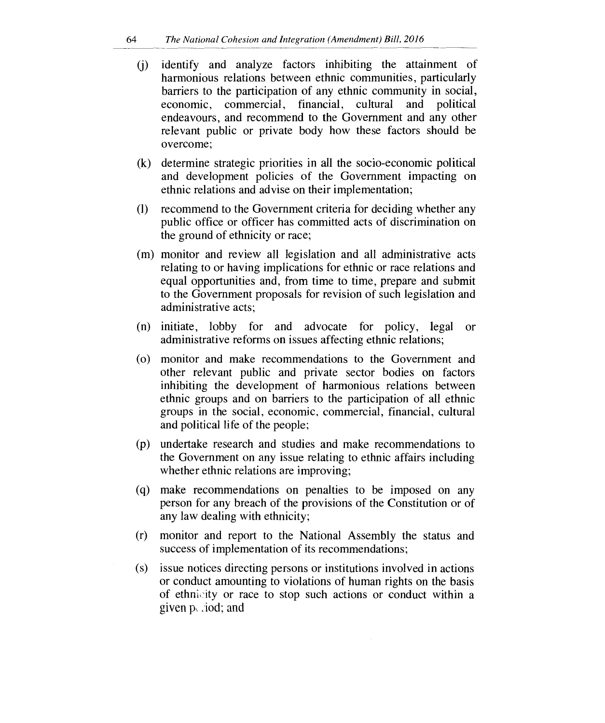- (j) identify and analyze factors inhibiting the attainment of harmonious relations between ethnic communities, particularly barriers to the participation of any ethnic community in social, economic, commercial, financial, cultural and political endeavours, and recommend to the Government and any other relevant public or private body how these factors should be overcome;
- (k) determine strategic priorities in all the socio-economic political and development policies of the Government impacting on ethnic relations and advise on their implementation;
- (I) recommend to the Government criteria for deciding whether any public office or officer has committed acts of discrimination on the ground of ethnicity or race;
- (m) monitor and review all legislation and all administrative acts relating to or having implications for ethnic or race relations and equal opportunities and, from time to time, prepare and submit to the Government proposals for revision of such legislation and administrative acts;
- (n) initiate, lobby for and advocate for policy, legal or administrative reforms on issues affecting ethnic relations;
- (o) monitor and make recommendations to the Government and other relevant public and private sector bodies on factors inhibiting the development of harmonious relations between ethnic groups and on barriers to the participation of all ethnic groups in the social, economic, commercial, financial, cultural and political life of the people;
- (p) undertake research and studies and make recommendations to the Government on any issue relating to ethnic affairs including whether ethnic relations are improving;
- (q) make recommendations on penalties to be imposed on any person for any breach of the provisions of the Constitution or of any law dealing with ethnicity;
- (r) monitor and report to the National Assembly the status and success of implementation of its recommendations;
- (s) issue notices directing persons or institutions involved in actions or conduct amounting to violations of human rights on the basis of ethnicity or race to stop such actions or conduct within a given  $p_{\lambda}$  *jod*; and